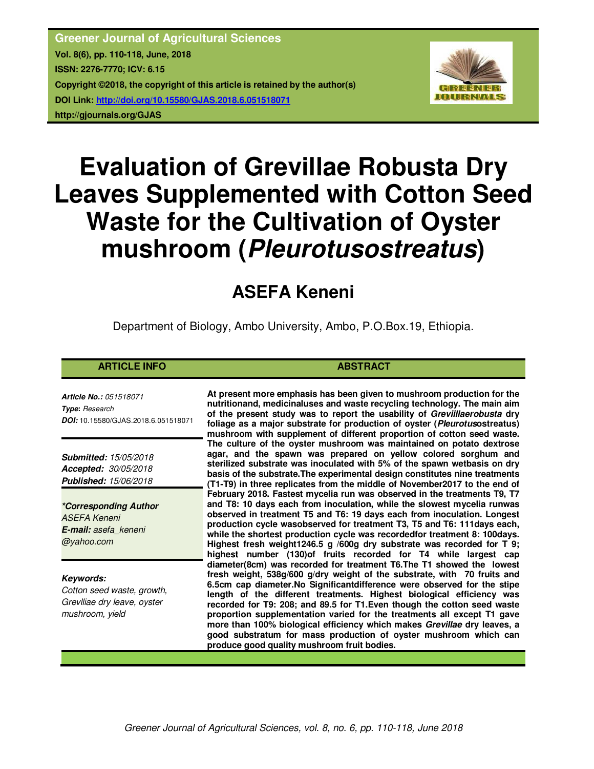**Greener Journal of Agricultural Sciences Vol. 8(6), pp. 110-118, June, 2018 ISSN: 2276-7770; ICV: 6.15 Copyright ©2018, the copyright of this article is retained by the author(s) DOI Link: http://doi.org/10.15580/GJAS.2018.6.051518071 http://gjournals.org/GJAS**



# **Evaluation of Grevillae Robusta Dry Leaves Supplemented with Cotton Seed Waste for the Cultivation of Oyster mushroom (***Pleurotusostreatus***)**

## **ASEFA Keneni**

Department of Biology, Ambo University, Ambo, P.O.Box.19, Ethiopia.

### **ARTICLE INFO ABSTRACT**

*Article No.: 051518071 Type***:** *Research DOI:* 10.15580/GJAS.2018.6.051518071

*Submitted: 15/05/2018 Accepted: 30/05/2018 Published: 15/06/2018*

*\*Corresponding Author ASEFA Keneni E-mail: asefa\_keneni @yahoo.com*

*Keywords: Cotton seed waste, growth, Grevlliae dry leave, oyster mushroom, yield*

**At present more emphasis has been given to mushroom production for the nutritionand, medicinaluses and waste recycling technology. The main aim of the present study was to report the usability of** *Greviillaerobusta* **dry foliage as a major substrate for production of oyster (***Pleurotus***ostreatus) mushroom with supplement of different proportion of cotton seed waste. The culture of the oyster mushroom was maintained on potato dextrose agar, and the spawn was prepared on yellow colored sorghum and sterilized substrate was inoculated with 5% of the spawn wetbasis on dry basis of the substrate.The experimental design constitutes nine treatments (T1-T9) in three replicates from the middle of November2017 to the end of February 2018. Fastest mycelia run was observed in the treatments T9, T7 and T8: 10 days each from inoculation, while the slowest mycelia runwas observed in treatment T5 and T6: 19 days each from inoculation. Longest production cycle wasobserved for treatment T3, T5 and T6: 111days each, while the shortest production cycle was recordedfor treatment 8: 100days. Highest fresh weight1246.5 g /600g dry substrate was recorded for T 9; highest number (130)of fruits recorded for T4 while largest cap diameter(8cm) was recorded for treatment T6.The T1 showed the lowest fresh weight, 538g/600 g/dry weight of the substrate, with 70 fruits and 6.5cm cap diameter.No Significantdifference were observed for the stipe length of the different treatments. Highest biological efficiency was recorded for T9: 208; and 89.5 for T1.Even though the cotton seed waste proportion supplementation varied for the treatments all except T1 gave more than 100% biological efficiency which makes** *Grevillae* **dry leaves, a good substratum for mass production of oyster mushroom which can produce good quality mushroom fruit bodies.**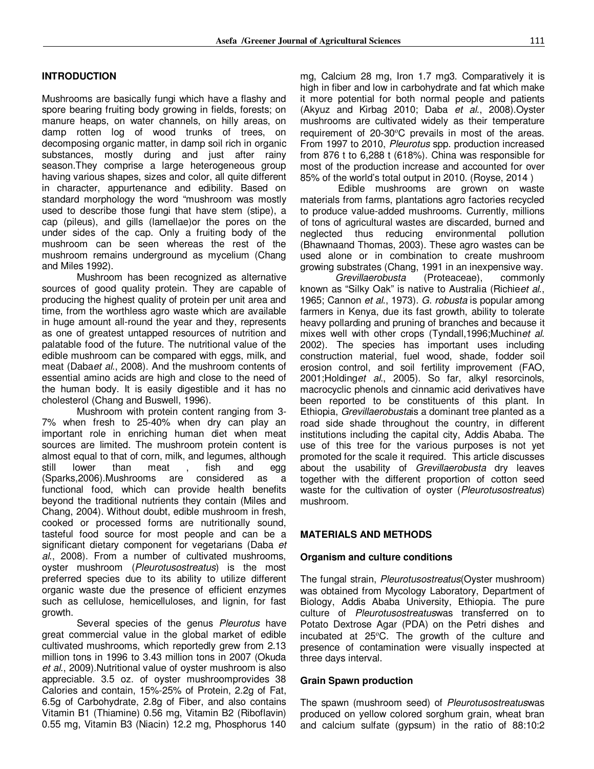#### **INTRODUCTION**

Mushrooms are basically fungi which have a flashy and spore bearing fruiting body growing in fields, forests; on manure heaps, on water channels, on hilly areas, on damp rotten log of wood trunks of trees, on decomposing organic matter, in damp soil rich in organic substances, mostly during and just after rainy season.They comprise a large heterogeneous group having various shapes, sizes and color, all quite different in character, appurtenance and edibility. Based on standard morphology the word "mushroom was mostly used to describe those fungi that have stem (stipe), a cap (pileus), and gills (lamellae)or the pores on the under sides of the cap. Only a fruiting body of the mushroom can be seen whereas the rest of the mushroom remains underground as mycelium (Chang and Miles 1992).

Mushroom has been recognized as alternative sources of good quality protein. They are capable of producing the highest quality of protein per unit area and time, from the worthless agro waste which are available in huge amount all-round the year and they, represents as one of greatest untapped resources of nutrition and palatable food of the future. The nutritional value of the edible mushroom can be compared with eggs, milk, and meat (Daba*et al*., 2008). And the mushroom contents of essential amino acids are high and close to the need of the human body. It is easily digestible and it has no cholesterol (Chang and Buswell, 1996).

Mushroom with protein content ranging from 3- 7% when fresh to 25-40% when dry can play an important role in enriching human diet when meat sources are limited. The mushroom protein content is almost equal to that of corn, milk, and legumes, although still lower than meat , fish and egg (Sparks,2006).Mushrooms are considered as a functional food, which can provide health benefits beyond the traditional nutrients they contain (Miles and Chang, 2004). Without doubt, edible mushroom in fresh, cooked or processed forms are nutritionally sound, tasteful food source for most people and can be a significant dietary component for vegetarians (Daba *et al*., 2008). From a number of cultivated mushrooms, oyster mushroom (*Pleurotusostreatus*) is the most preferred species due to its ability to utilize different organic waste due the presence of efficient enzymes such as cellulose, hemicelluloses, and lignin, for fast growth.

Several species of the genus *Pleurotus* have great commercial value in the global market of edible cultivated mushrooms, which reportedly grew from 2.13 million tons in 1996 to 3.43 million tons in 2007 (Okuda *et al*., 2009).Nutritional value of oyster mushroom is also appreciable. 3.5 oz. of oyster mushroomprovides 38 Calories and contain, 15%-25% of Protein, 2.2g of Fat, 6.5g of Carbohydrate, 2.8g of Fiber, and also contains Vitamin B1 (Thiamine) 0.56 mg, Vitamin B2 (Riboflavin) 0.55 mg, Vitamin B3 (Niacin) 12.2 mg, Phosphorus 140 mg, Calcium 28 mg, Iron 1.7 mg3. Comparatively it is high in fiber and low in carbohydrate and fat which make it more potential for both normal people and patients (Akyuz and Kirbag 2010; Daba *et al*., 2008).Oyster mushrooms are cultivated widely as their temperature requirement of 20-30°C prevails in most of the areas. From 1997 to 2010, *Pleurotus* spp. production increased from 876 t to 6,288 t (618%). China was responsible for most of the production increase and accounted for over 85% of the world's total output in 2010. (Royse, 2014 )

 Edible mushrooms are grown on waste materials from farms, plantations agro factories recycled to produce value-added mushrooms. Currently, millions of tons of agricultural wastes are discarded, burned and neglected thus reducing environmental pollution (Bhawnaand Thomas, 2003). These agro wastes can be used alone or in combination to create mushroom growing substrates (Chang, 1991 in an inexpensive way.<br>Grevillaerobusta (Proteaceae), commonly

*Grevillaerobusta* (Proteaceae), commonly known as "Silky Oak" is native to Australia (Richie*et al*., 1965; Cannon *et al*., 1973). *G. robusta* is popular among farmers in Kenya, due its fast growth, ability to tolerate heavy pollarding and pruning of branches and because it mixes well with other crops (Tyndall,1996;Muchin*et al*. 2002). The species has important uses including construction material, fuel wood, shade, fodder soil erosion control, and soil fertility improvement (FAO, 2001;Holding*et al*., 2005). So far, alkyl resorcinols, macrocyclic phenols and cinnamic acid derivatives have been reported to be constituents of this plant. In Ethiopia, *Grevillaerobusta*is a dominant tree planted as a road side shade throughout the country, in different institutions including the capital city, Addis Ababa. The use of this tree for the various purposes is not yet promoted for the scale it required. This article discusses about the usability of *Grevillaerobusta* dry leaves together with the different proportion of cotton seed waste for the cultivation of oyster (*Pleurotusostreatus*) mushroom.

#### **MATERIALS AND METHODS**

#### **Organism and culture conditions**

The fungal strain, *Pleurotusostreatus*(Oyster mushroom) was obtained from Mycology Laboratory, Department of Biology, Addis Ababa University, Ethiopia. The pure culture of *Pleurotusostreatus*was transferred on to Potato Dextrose Agar (PDA) on the Petri dishes and incubated at 25°C. The growth of the culture and presence of contamination were visually inspected at three days interval.

#### **Grain Spawn production**

The spawn (mushroom seed) of *Pleurotusostreatus*was produced on yellow colored sorghum grain, wheat bran and calcium sulfate (gypsum) in the ratio of 88:10:2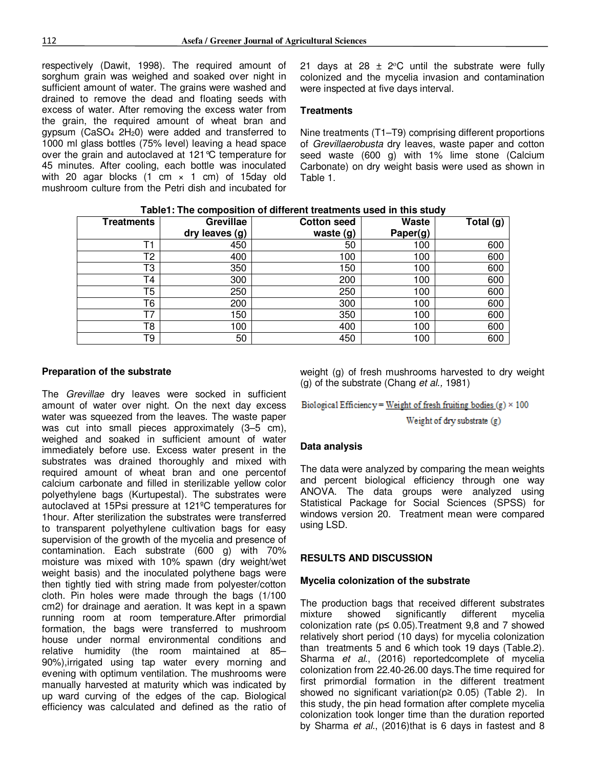respectively (Dawit, 1998). The required amount of sorghum grain was weighed and soaked over night in sufficient amount of water. The grains were washed and drained to remove the dead and floating seeds with excess of water. After removing the excess water from the grain, the required amount of wheat bran and gypsum (CaSO $_4$  2H<sub>2</sub>0) were added and transferred to 1000 ml glass bottles (75% level) leaving a head space over the grain and autoclaved at 121°C temperature for 45 minutes. After cooling, each bottle was inoculated with 20 agar blocks  $(1 \text{ cm } \times 1 \text{ cm})$  of 15day old mushroom culture from the Petri dish and incubated for

21 days at 28  $\pm$  2°C until the substrate were fully colonized and the mycelia invasion and contamination were inspected at five days interval.

#### **Treatments**

Nine treatments (T1–T9) comprising different proportions of *Grevillaerobusta* dry leaves, waste paper and cotton seed waste (600 g) with 1% lime stone (Calcium Carbonate) on dry weight basis were used as shown in Table 1.

| <b>Treatments</b> | <b>Grevillae</b> | <b>Cotton seed</b> | <b>Waste</b> | Total (g) |
|-------------------|------------------|--------------------|--------------|-----------|
|                   | dry leaves (g)   | waste (g)          | Paper(g)     |           |
|                   | 450              | 50                 | 100          | 600       |
| Т2                | 400              | 100                | 100          | 600       |
| T3                | 350              | 150                | 100          | 600       |
| Τ4                | 300              | 200                | 100          | 600       |
| T5                | 250              | 250                | 100          | 600       |
| Т6                | 200              | 300                | 100          | 600       |
| т7                | 150              | 350                | 100          | 600       |
| T8                | 100              | 400                | 100          | 600       |
| Τ9                | 50               | 450                | 100          | 600       |

**Table1: The composition of different treatments used in this study** 

#### **Preparation of the substrate**

The *Grevillae* dry leaves were socked in sufficient amount of water over night. On the next day excess water was squeezed from the leaves. The waste paper was cut into small pieces approximately (3–5 cm), weighed and soaked in sufficient amount of water immediately before use. Excess water present in the substrates was drained thoroughly and mixed with required amount of wheat bran and one percentof calcium carbonate and filled in sterilizable yellow color polyethylene bags (Kurtupestal). The substrates were autoclaved at 15Psi pressure at 121ºC temperatures for 1hour. After sterilization the substrates were transferred to transparent polyethylene cultivation bags for easy supervision of the growth of the mycelia and presence of contamination. Each substrate (600 g) with 70% moisture was mixed with 10% spawn (dry weight/wet weight basis) and the inoculated polythene bags were then tightly tied with string made from polyester/cotton cloth. Pin holes were made through the bags (1/100 cm2) for drainage and aeration. It was kept in a spawn running room at room temperature.After primordial formation, the bags were transferred to mushroom house under normal environmental conditions and relative humidity (the room maintained at 85– 90%),irrigated using tap water every morning and evening with optimum ventilation. The mushrooms were manually harvested at maturity which was indicated by up ward curving of the edges of the cap. Biological efficiency was calculated and defined as the ratio of weight (g) of fresh mushrooms harvested to dry weight (g) of the substrate (Chang *et al.,* 1981)

Biological Efficiency = Weight of fresh fruiting bodies (g)  $\times$  100

Weight of dry substrate (g)

#### **Data analysis**

The data were analyzed by comparing the mean weights and percent biological efficiency through one way ANOVA. The data groups were analyzed using Statistical Package for Social Sciences (SPSS) for windows version 20. Treatment mean were compared using LSD.

#### **RESULTS AND DISCUSSION**

#### **Mycelia colonization of the substrate**

The production bags that received different substrates<br>mixture showed significantly different mycelia significantly different mycelia colonization rate ( $p \le 0.05$ ). Treatment 9,8 and 7 showed relatively short period (10 days) for mycelia colonization than treatments 5 and 6 which took 19 days (Table.2). Sharma *et al*., (2016) reportedcomplete of mycelia colonization from 22.40-26.00 days.The time required for first primordial formation in the different treatment showed no significant variation( $p \ge 0.05$ ) (Table 2). In this study, the pin head formation after complete mycelia colonization took longer time than the duration reported by Sharma *et al*., (2016)that is 6 days in fastest and 8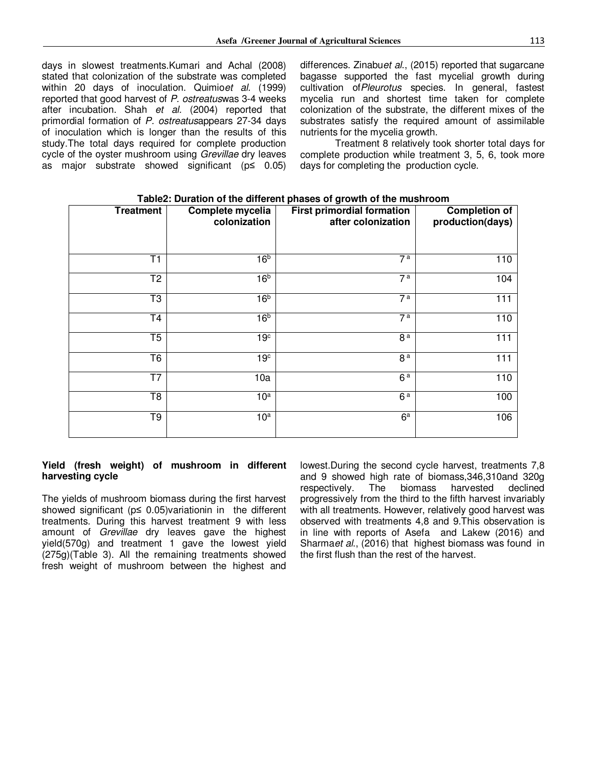days in slowest treatments.Kumari and Achal (2008) stated that colonization of the substrate was completed within 20 days of inoculation. Quimio*et al.* (1999) reported that good harvest of *P. ostreatus*was 3-4 weeks after incubation. Shah *et al.* (2004) reported that primordial formation of *P. ostreatus*appears 27-34 days of inoculation which is longer than the results of this study.The total days required for complete production cycle of the oyster mushroom using *Grevillae* dry leaves as major substrate showed significant (p≤ 0.05) differences. Zinabu*et al*., (2015) reported that sugarcane bagasse supported the fast mycelial growth during cultivation of*Pleurotus* species. In general, fastest mycelia run and shortest time taken for complete colonization of the substrate, the different mixes of the substrates satisfy the required amount of assimilable nutrients for the mycelia growth.

Treatment 8 relatively took shorter total days for complete production while treatment 3, 5, 6, took more days for completing the production cycle.

| <b>Treatment</b> | Complete mycelia<br>colonization | <b>First primordial formation</b><br>after colonization | <b>Completion of</b><br>production(days) |
|------------------|----------------------------------|---------------------------------------------------------|------------------------------------------|
|                  |                                  |                                                         |                                          |
|                  |                                  |                                                         |                                          |
| T1               | 16 <sup>b</sup>                  | 7 <sup>a</sup>                                          | 110                                      |
| T <sub>2</sub>   | 16 <sup>b</sup>                  | 7 <sup>a</sup>                                          | 104                                      |
| T3               | 16 <sup>b</sup>                  | 7 <sup>a</sup>                                          | 111                                      |
| T <sub>4</sub>   | 16 <sup>b</sup>                  | 7 <sup>a</sup>                                          | 110                                      |
| T5               | 19 <sup>c</sup>                  | 8 <sup>a</sup>                                          | 111                                      |
| T <sub>6</sub>   | 19 <sup>c</sup>                  | 8 <sup>a</sup>                                          | 111                                      |
| T7               | 10a                              | 6 <sup>a</sup>                                          | 110                                      |
| T <sub>8</sub>   | 10 <sup>a</sup>                  | 6 <sup>a</sup>                                          | 100                                      |
| T9               | 10 <sup>a</sup>                  | 6 <sup>a</sup>                                          | 106                                      |

#### **Table2: Duration of the different phases of growth of the mushroom**

#### **Yield (fresh weight) of mushroom in different harvesting cycle**

The yields of mushroom biomass during the first harvest showed significant (p≤ 0.05)variationin in the different treatments. During this harvest treatment 9 with less amount of *Grevillae* dry leaves gave the highest yield(570g) and treatment 1 gave the lowest yield (275g)(Table 3). All the remaining treatments showed fresh weight of mushroom between the highest and

lowest.During the second cycle harvest, treatments 7,8 and 9 showed high rate of biomass,346,310and 320g respectively. The biomass harvested declined progressively from the third to the fifth harvest invariably with all treatments. However, relatively good harvest was observed with treatments 4,8 and 9.This observation is in line with reports of Asefa and Lakew (2016) and Sharma*et al*., (2016) that highest biomass was found in the first flush than the rest of the harvest.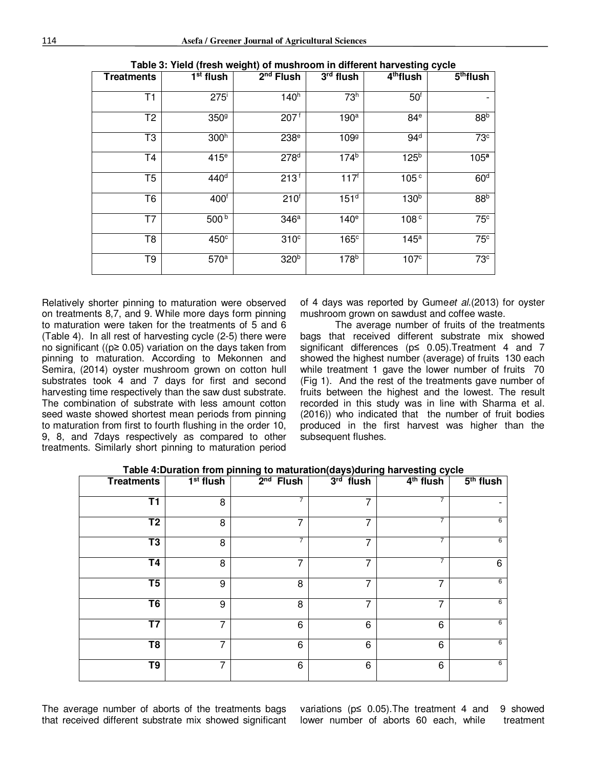| <b>Treatments</b> | 1 <sup>st</sup> flush | $2nd$ Flush      | 3rd flush        | $4th$ flush      | 5 <sup>th</sup> flux |
|-------------------|-----------------------|------------------|------------------|------------------|----------------------|
| T1                | $275^{\mathrm{i}}$    | 140 <sup>h</sup> | 73 <sup>h</sup>  | 50 <sup>6</sup>  |                      |
| T <sub>2</sub>    | 350 <sup>9</sup>      | $207^{f}$        | 190 <sup>a</sup> | 84 <sup>e</sup>  | 88 <sup>b</sup>      |
| T3                | 300 <sup>h</sup>      | 238 <sup>e</sup> | 109 <sup>g</sup> | 94 <sup>d</sup>  | 73c                  |
| T <sub>4</sub>    | 415 <sup>e</sup>      | 278 <sup>d</sup> | 174 <sup>b</sup> | 125 <sup>b</sup> | 105 <sup>a</sup>     |
| T <sub>5</sub>    | 440 <sup>d</sup>      | $213^{f}$        | $117^{f}$        | 105 <sup>c</sup> | 60 <sup>d</sup>      |
| T6                | 400 <sup>f</sup>      | 210 <sup>6</sup> | 151 <sup>d</sup> | 130 <sup>b</sup> | 88 <sup>b</sup>      |
| T7                | $500^{6}$             | 346a             | 140 <sup>e</sup> | 108 <sup>c</sup> | 75 <sup>c</sup>      |
| T8                | 450 <sup>c</sup>      | 310 <sup>c</sup> | 165 <sup>c</sup> | 145 <sup>a</sup> | 75 <sup>c</sup>      |
| T9                | 570 <sup>a</sup>      | 320 <sup>b</sup> | 178 <sup>b</sup> | 107 <sup>c</sup> | 73 <sup>c</sup>      |

| Table 3: Yield (fresh weight) of mushroom in different harvesting cycle |
|-------------------------------------------------------------------------|
|-------------------------------------------------------------------------|

Relatively shorter pinning to maturation were observed on treatments 8,7, and 9. While more days form pinning to maturation were taken for the treatments of 5 and 6 (Table 4). In all rest of harvesting cycle (2-5) there were no significant ((p≥ 0.05) variation on the days taken from pinning to maturation. According to Mekonnen and Semira, (2014) oyster mushroom grown on cotton hull substrates took 4 and 7 days for first and second harvesting time respectively than the saw dust substrate. The combination of substrate with less amount cotton seed waste showed shortest mean periods from pinning to maturation from first to fourth flushing in the order 10, 9, 8, and 7days respectively as compared to other treatments. Similarly short pinning to maturation period

of 4 days was reported by Gume*et al*.(2013) for oyster mushroom grown on sawdust and coffee waste.

The average number of fruits of the treatments bags that received different substrate mix showed significant differences (p≤ 0.05).Treatment 4 and 7 showed the highest number (average) of fruits 130 each while treatment 1 gave the lower number of fruits 70 (Fig 1). And the rest of the treatments gave number of fruits between the highest and the lowest. The result recorded in this study was in line with Sharma et al. (2016)) who indicated that the number of fruit bodies produced in the first harvest was higher than the subsequent flushes.

| <b>Treatments</b>                 | 1 <sup>st</sup> flush | $2nd$ Flush    | $3rd$ flush | 4 <sup>th</sup> flush | 5 <sup>th</sup> flush |
|-----------------------------------|-----------------------|----------------|-------------|-----------------------|-----------------------|
| $\overline{\mathsf{T1}}$          | 8                     | 7              | 7           |                       |                       |
| $\overline{\text{T2}}$            | 8                     | 7              | 7           | $\overline{7}$        | 6                     |
| T <sub>3</sub>                    | 8                     | $\overline{7}$ | 7           | $\overline{7}$        | 6                     |
| T <sub>4</sub>                    | 8                     | 7              | 7           |                       | 6                     |
| $\overline{\mathsf{T}}\mathsf{5}$ | 9                     | 8              | 7           | 7                     | 6                     |
| T <sub>6</sub>                    | 9                     | 8              | 7           | 7                     | 6                     |
| T7                                | 7                     | 6              | 6           | 6                     | 6                     |
| $\overline{18}$                   | 7                     | 6              | 6           | 6                     | 6                     |
| $\overline{T}9$                   | 7                     | 6              | 6           | 6                     | 6                     |

**Table 4:Duration from pinning to maturation(days)during harvesting cycle** 

The average number of aborts of the treatments bags that received different substrate mix showed significant

variations (p≤ 0.05).The treatment 4 and 9 showed lower number of aborts 60 each, while treatment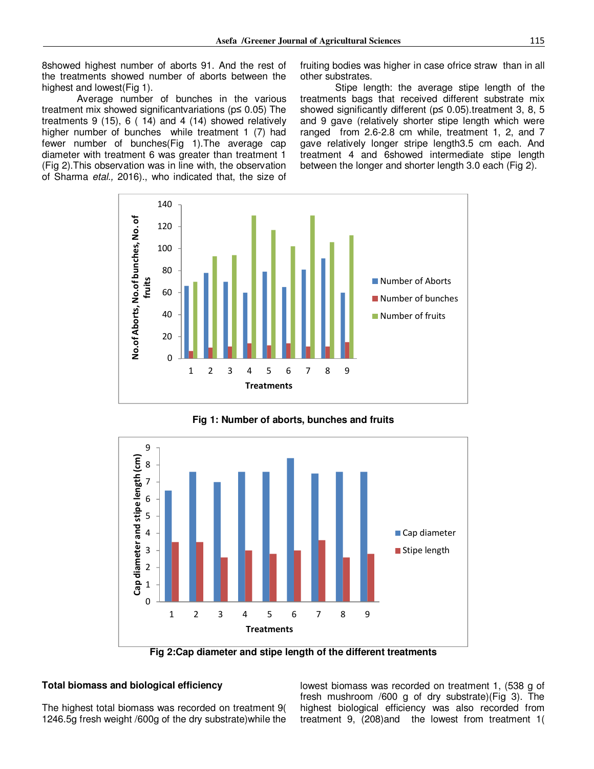8showed highest number of aborts 91. And the rest of the treatments showed number of aborts between the highest and lowest(Fig 1).

Average number of bunches in the various treatment mix showed significantvariations (p≤ 0.05) The treatments 9 (15), 6 ( 14) and 4 (14) showed relatively higher number of bunches while treatment 1 (7) had fewer number of bunches(Fig 1).The average cap diameter with treatment 6 was greater than treatment 1 (Fig 2).This observation was in line with, the observation of Sharma *etal.,* 2016)., who indicated that, the size of fruiting bodies was higher in case ofrice straw than in all other substrates.

Stipe length: the average stipe length of the treatments bags that received different substrate mix showed significantly different (p≤ 0.05).treatment 3, 8, 5 and 9 gave (relatively shorter stipe length which were ranged from 2.6-2.8 cm while, treatment 1, 2, and 7 gave relatively longer stripe length3.5 cm each. And treatment 4 and 6showed intermediate stipe length between the longer and shorter length 3.0 each (Fig 2).



**Fig 1: Number of aborts, bunches and fruits** 



**Fig 2:Cap diameter and stipe length of the different treatments** 

#### **Total biomass and biological efficiency**

The highest total biomass was recorded on treatment 9( 1246.5g fresh weight /600g of the dry substrate)while the lowest biomass was recorded on treatment 1, (538 g of fresh mushroom /600 g of dry substrate)(Fig 3). The highest biological efficiency was also recorded from treatment 9, (208)and the lowest from treatment 1(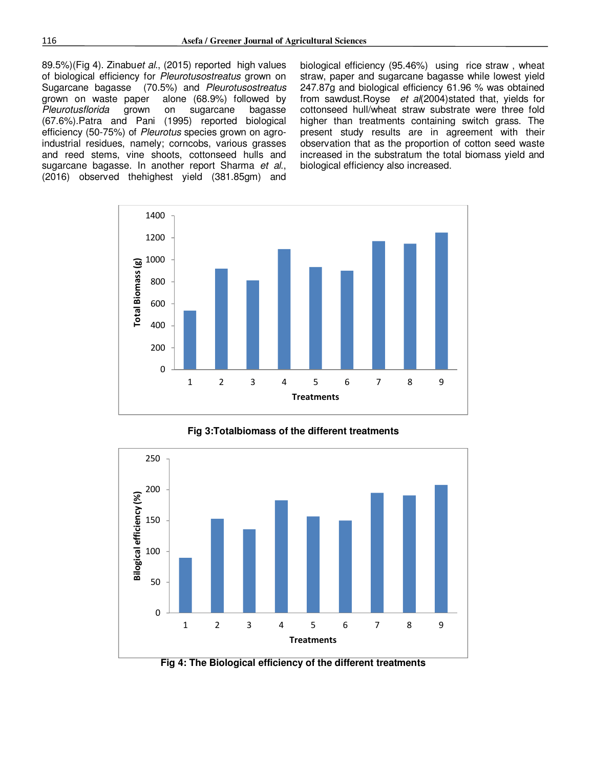89.5%)(Fig 4). Zinabu*et al*., (2015) reported high values of biological efficiency for *Pleurotusostreatus* grown on Sugarcane bagasse (70.5%) and *Pleurotusostreatus* alone  $(68.9%)$  followed by *Pleurotusflorida* grown on sugarcane bagasse (67.6%).Patra and Pani (1995) reported biological efficiency (50-75%) of *Pleurotus* species grown on agroindustrial residues, namely; corncobs, various grasses and reed stems, vine shoots, cottonseed hulls and sugarcane bagasse. In another report Sharma *et al*., (2016) observed thehighest yield (381.85gm) and

biological efficiency (95.46%) using rice straw , wheat straw, paper and sugarcane bagasse while lowest yield 247.87g and biological efficiency 61.96 % was obtained from sawdust.Royse *et al*(2004)stated that, yields for cottonseed hull/wheat straw substrate were three fold higher than treatments containing switch grass. The present study results are in agreement with their observation that as the proportion of cotton seed waste increased in the substratum the total biomass yield and biological efficiency also increased.



**Fig 3:Totalbiomass of the different treatments** 



**Fig 4: The Biological efficiency of the different treatments**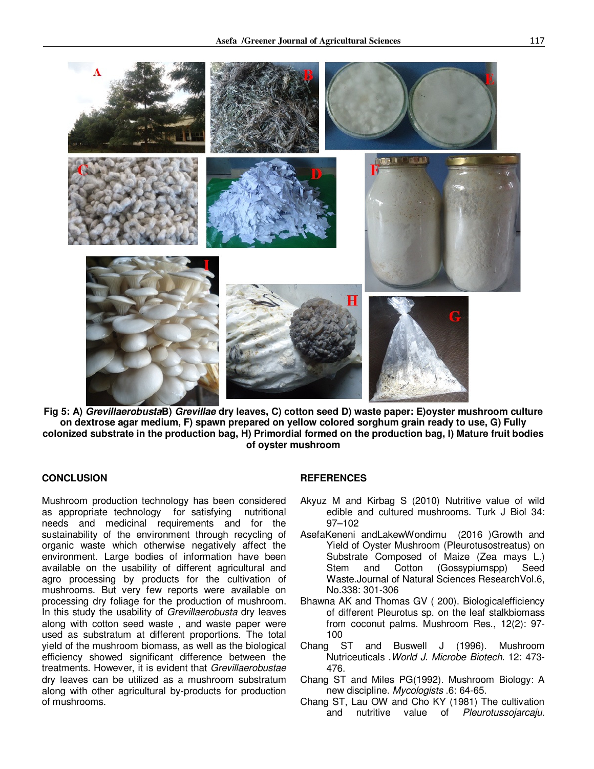

**Fig 5: A)** *Grevillaerobusta***B)** *Grevillae* **dry leaves, C) cotton seed D) waste paper: E)oyster mushroom culture on dextrose agar medium, F) spawn prepared on yellow colored sorghum grain ready to use, G) Fully colonized substrate in the production bag, H) Primordial formed on the production bag, I) Mature fruit bodies of oyster mushroom** 

#### **CONCLUSION**

Mushroom production technology has been considered as appropriate technology for satisfying nutritional needs and medicinal requirements and for the sustainability of the environment through recycling of organic waste which otherwise negatively affect the environment. Large bodies of information have been available on the usability of different agricultural and agro processing by products for the cultivation of mushrooms. But very few reports were available on processing dry foliage for the production of mushroom. In this study the usability of *Grevillaerobusta* dry leaves along with cotton seed waste , and waste paper were used as substratum at different proportions. The total yield of the mushroom biomass, as well as the biological efficiency showed significant difference between the treatments. However, it is evident that *Grevillaerobustae* dry leaves can be utilized as a mushroom substratum along with other agricultural by-products for production of mushrooms.

#### **REFERENCES**

- Akyuz M and Kirbag S (2010) Nutritive value of wild edible and cultured mushrooms. Turk J Biol 34: 97–102
- AsefaKeneni andLakewWondimu (2016 )Growth and Yield of Oyster Mushroom (Pleurotusostreatus) on Substrate Composed of Maize (Zea mays L.) Stem and Cotton (Gossypiumspp) Seed Waste.Journal of Natural Sciences ResearchVol.6, No.338: 301-306
- Bhawna AK and Thomas GV ( 200). Biologicalefficiency of different Pleurotus sp. on the leaf stalkbiomass from coconut palms. Mushroom Res., 12(2): 97- 100
- Chang ST and Buswell J (1996). Mushroom Nutriceuticals .*World J. Microbe Biotech*. 12: 473- 476.
- Chang ST and Miles PG(1992). Mushroom Biology: A new discipline. *Mycologists* .6: 64-65.
- Chang ST, Lau OW and Cho KY (1981) The cultivation and nutritive value of *Pleurotussojarcaju.*